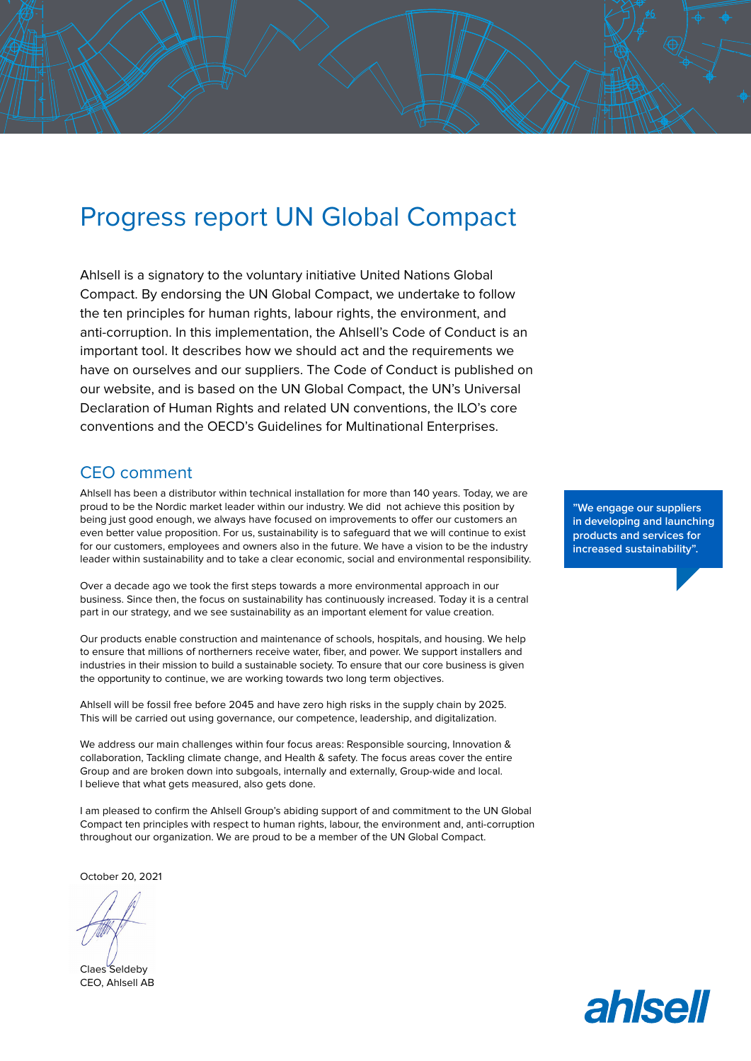## Progress report UN Global Compact

Ahlsell is a signatory to the voluntary initiative United Nations Global Compact. By endorsing the UN Global Compact, we undertake to follow the ten principles for human rights, labour rights, the environment, and anti-corruption. In this implementation, the Ahlsell's Code of Conduct is an important tool. It describes how we should act and the requirements we have on ourselves and our suppliers. The Code of Conduct is published on our website, and is based on the UN Global Compact, the UN's Universal Declaration of Human Rights and related UN conventions, the ILO's core conventions and the OECD's Guidelines for Multinational Enterprises.

## CEO comment

Ahlsell has been a distributor within technical installation for more than 140 years. Today, we are proud to be the Nordic market leader within our industry. We did not achieve this position by being just good enough, we always have focused on improvements to offer our customers an even better value proposition. For us, sustainability is to safeguard that we will continue to exist for our customers, employees and owners also in the future. We have a vision to be the industry leader within sustainability and to take a clear economic, social and environmental responsibility.

Over a decade ago we took the first steps towards a more environmental approach in our business. Since then, the focus on sustainability has continuously increased. Today it is a central part in our strategy, and we see sustainability as an important element for value creation.

Our products enable construction and maintenance of schools, hospitals, and housing. We help to ensure that millions of northerners receive water, fiber, and power. We support installers and industries in their mission to build a sustainable society. To ensure that our core business is given the opportunity to continue, we are working towards two long term objectives.

Ahlsell will be fossil free before 2045 and have zero high risks in the supply chain by 2025. This will be carried out using governance, our competence, leadership, and digitalization.

We address our main challenges within four focus areas: Responsible sourcing, Innovation & collaboration, Tackling climate change, and Health & safety. The focus areas cover the entire Group and are broken down into subgoals, internally and externally, Group-wide and local. I believe that what gets measured, also gets done.

I am pleased to confirm the Ahlsell Group's abiding support of and commitment to the UN Global Compact ten principles with respect to human rights, labour, the environment and, anti-corruption throughout our organization. We are proud to be a member of the UN Global Compact.

October 20, 2021

Claes Seldeby CEO, Ahlsell AB

**"We engage our suppliers in developing and launching products and services for increased sustainability".**